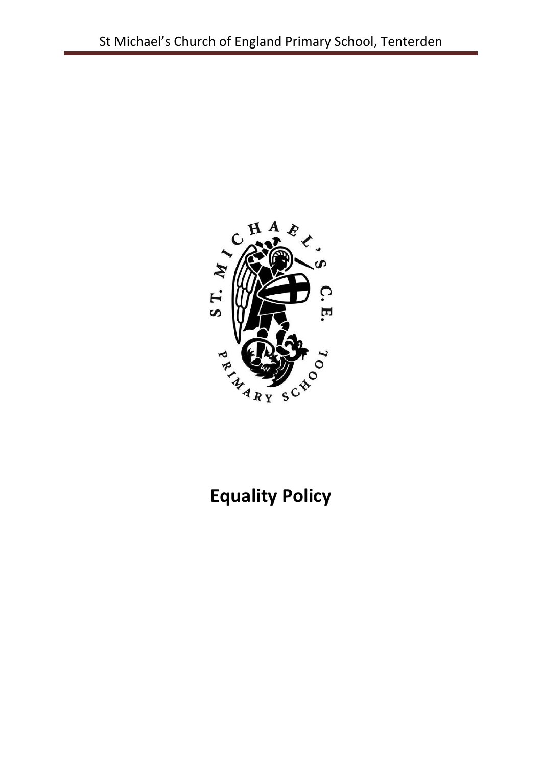

# **Equality Policy**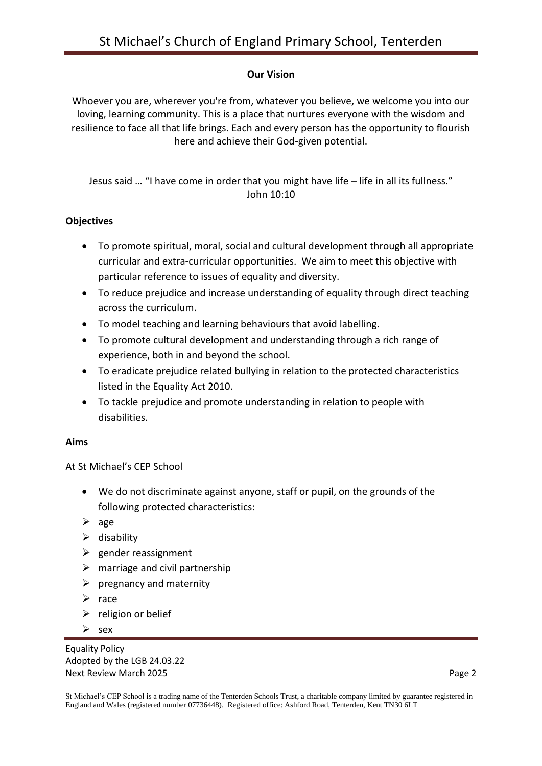#### **Our Vision**

Whoever you are, wherever you're from, whatever you believe, we welcome you into our loving, learning community. This is a place that nurtures everyone with the wisdom and resilience to face all that life brings. Each and every person has the opportunity to flourish here and achieve their God-given potential.

Jesus said … "I have come in order that you might have life – life in all its fullness." John 10:10

#### **Objectives**

- To promote spiritual, moral, social and cultural development through all appropriate curricular and extra-curricular opportunities. We aim to meet this objective with particular reference to issues of equality and diversity.
- To reduce prejudice and increase understanding of equality through direct teaching across the curriculum.
- To model teaching and learning behaviours that avoid labelling.
- To promote cultural development and understanding through a rich range of experience, both in and beyond the school.
- To eradicate prejudice related bullying in relation to the protected characteristics listed in the Equality Act 2010.
- To tackle prejudice and promote understanding in relation to people with disabilities.

#### **Aims**

At St Michael's CEP School

- We do not discriminate against anyone, staff or pupil, on the grounds of the following protected characteristics:
- $\triangleright$  age
- $\triangleright$  disability
- $\triangleright$  gender reassignment
- $\triangleright$  marriage and civil partnership
- $\triangleright$  pregnancy and maternity
- $\triangleright$  race
- $\triangleright$  religion or belief
- $\triangleright$  sex

Equality Policy Adopted by the LGB 24.03.22 Next Review March 2025 **Page 2 Page 2**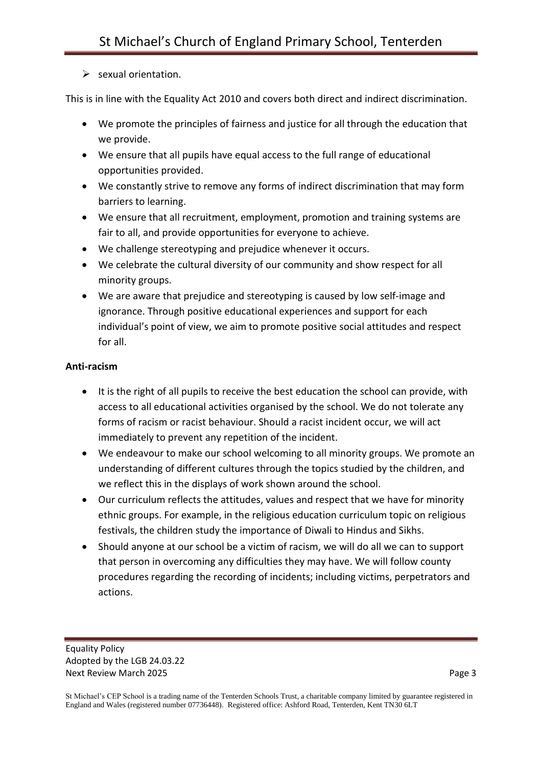# $\triangleright$  sexual orientation.

This is in line with the Equality Act 2010 and covers both direct and indirect discrimination.

- We promote the principles of fairness and justice for all through the education that we provide.
- We ensure that all pupils have equal access to the full range of educational opportunities provided.
- We constantly strive to remove any forms of indirect discrimination that may form barriers to learning.
- We ensure that all recruitment, employment, promotion and training systems are fair to all, and provide opportunities for everyone to achieve.
- We challenge stereotyping and prejudice whenever it occurs.
- We celebrate the cultural diversity of our community and show respect for all minority groups.
- We are aware that prejudice and stereotyping is caused by low self-image and ignorance. Through positive educational experiences and support for each individual's point of view, we aim to promote positive social attitudes and respect for all.

## **Anti-racism**

- It is the right of all pupils to receive the best education the school can provide, with access to all educational activities organised by the school. We do not tolerate any forms of racism or racist behaviour. Should a racist incident occur, we will act immediately to prevent any repetition of the incident.
- We endeavour to make our school welcoming to all minority groups. We promote an understanding of different cultures through the topics studied by the children, and we reflect this in the displays of work shown around the school.
- Our curriculum reflects the attitudes, values and respect that we have for minority ethnic groups. For example, in the religious education curriculum topic on religious festivals, the children study the importance of Diwali to Hindus and Sikhs.
- Should anyone at our school be a victim of racism, we will do all we can to support that person in overcoming any difficulties they may have. We will follow county procedures regarding the recording of incidents; including victims, perpetrators and actions.

St Michael's CEP School is a trading name of the Tenterden Schools Trust, a charitable company limited by guarantee registered in England and Wales (registered number 07736448). Registered office: Ashford Road, Tenterden, Kent TN30 6LT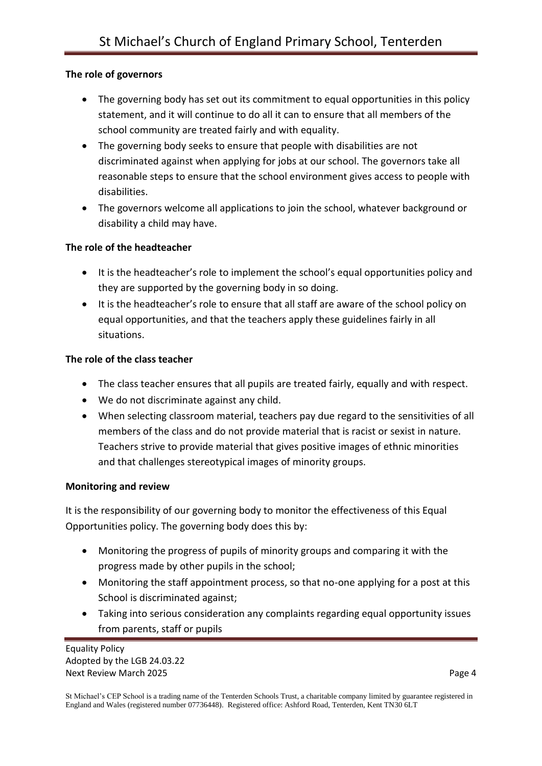# **The role of governors**

- The governing body has set out its commitment to equal opportunities in this policy statement, and it will continue to do all it can to ensure that all members of the school community are treated fairly and with equality.
- The governing body seeks to ensure that people with disabilities are not discriminated against when applying for jobs at our school. The governors take all reasonable steps to ensure that the school environment gives access to people with disabilities.
- The governors welcome all applications to join the school, whatever background or disability a child may have.

#### **The role of the headteacher**

- It is the headteacher's role to implement the school's equal opportunities policy and they are supported by the governing body in so doing.
- It is the headteacher's role to ensure that all staff are aware of the school policy on equal opportunities, and that the teachers apply these guidelines fairly in all situations.

## **The role of the class teacher**

- The class teacher ensures that all pupils are treated fairly, equally and with respect.
- We do not discriminate against any child.
- When selecting classroom material, teachers pay due regard to the sensitivities of all members of the class and do not provide material that is racist or sexist in nature. Teachers strive to provide material that gives positive images of ethnic minorities and that challenges stereotypical images of minority groups.

#### **Monitoring and review**

It is the responsibility of our governing body to monitor the effectiveness of this Equal Opportunities policy. The governing body does this by:

- Monitoring the progress of pupils of minority groups and comparing it with the progress made by other pupils in the school;
- Monitoring the staff appointment process, so that no-one applying for a post at this School is discriminated against;
- Taking into serious consideration any complaints regarding equal opportunity issues from parents, staff or pupils

Equality Policy Adopted by the LGB 24.03.22 Next Review March 2025 **Page 4**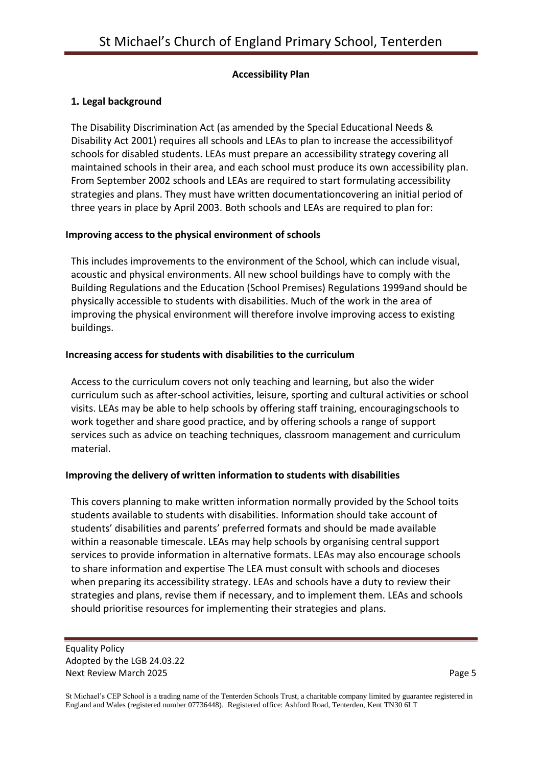#### **Accessibility Plan**

# **1. Legal background**

The Disability Discrimination Act (as amended by the Special Educational Needs & Disability Act 2001) requires all schools and LEAs to plan to increase the accessibilityof schools for disabled students. LEAs must prepare an accessibility strategy covering all maintained schools in their area, and each school must produce its own accessibility plan. From September 2002 schools and LEAs are required to start formulating accessibility strategies and plans. They must have written documentationcovering an initial period of three years in place by April 2003. Both schools and LEAs are required to plan for:

## **Improving access to the physical environment of schools**

This includes improvements to the environment of the School, which can include visual, acoustic and physical environments. All new school buildings have to comply with the Building Regulations and the Education (School Premises) Regulations 1999and should be physically accessible to students with disabilities. Much of the work in the area of improving the physical environment will therefore involve improving access to existing buildings.

## **Increasing access for students with disabilities to the curriculum**

Access to the curriculum covers not only teaching and learning, but also the wider curriculum such as after-school activities, leisure, sporting and cultural activities or school visits. LEAs may be able to help schools by offering staff training, encouragingschools to work together and share good practice, and by offering schools a range of support services such as advice on teaching techniques, classroom management and curriculum material.

# **Improving the delivery of written information to students with disabilities**

This covers planning to make written information normally provided by the School toits students available to students with disabilities. Information should take account of students' disabilities and parents' preferred formats and should be made available within a reasonable timescale. LEAs may help schools by organising central support services to provide information in alternative formats. LEAs may also encourage schools to share information and expertise The LEA must consult with schools and dioceses when preparing its accessibility strategy. LEAs and schools have a duty to review their strategies and plans, revise them if necessary, and to implement them. LEAs and schools should prioritise resources for implementing their strategies and plans.

Equality Policy Adopted by the LGB 24.03.22 Next Review March 2025 **Page 5**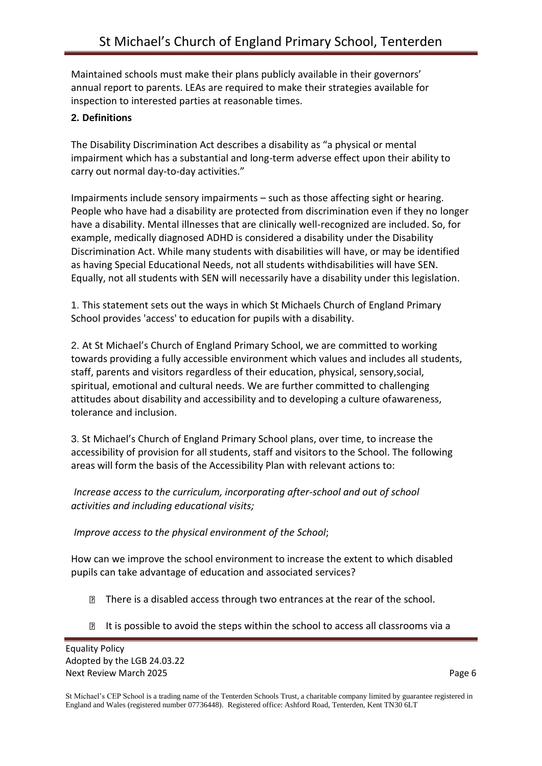Maintained schools must make their plans publicly available in their governors' annual report to parents. LEAs are required to make their strategies available for inspection to interested parties at reasonable times.

# **2. Definitions**

The Disability Discrimination Act describes a disability as "a physical or mental impairment which has a substantial and long-term adverse effect upon their ability to carry out normal day-to-day activities."

Impairments include sensory impairments – such as those affecting sight or hearing. People who have had a disability are protected from discrimination even if they no longer have a disability. Mental illnesses that are clinically well-recognized are included. So, for example, medically diagnosed ADHD is considered a disability under the Disability Discrimination Act. While many students with disabilities will have, or may be identified as having Special Educational Needs, not all students withdisabilities will have SEN. Equally, not all students with SEN will necessarily have a disability under this legislation.

1. This statement sets out the ways in which St Michaels Church of England Primary School provides 'access' to education for pupils with a disability.

2. At St Michael's Church of England Primary School, we are committed to working towards providing a fully accessible environment which values and includes all students, staff, parents and visitors regardless of their education, physical, sensory,social, spiritual, emotional and cultural needs. We are further committed to challenging attitudes about disability and accessibility and to developing a culture ofawareness, tolerance and inclusion.

3. St Michael's Church of England Primary School plans, over time, to increase the accessibility of provision for all students, staff and visitors to the School. The following areas will form the basis of the Accessibility Plan with relevant actions to:

*Increase access to the curriculum, incorporating after-school and out of school activities and including educational visits;*

*Improve access to the physical environment of the School*;

How can we improve the school environment to increase the extent to which disabled pupils can take advantage of education and associated services?

- There is a disabled access through two entrances at the rear of the school.
- It is possible to avoid the steps within the school to access all classrooms via a